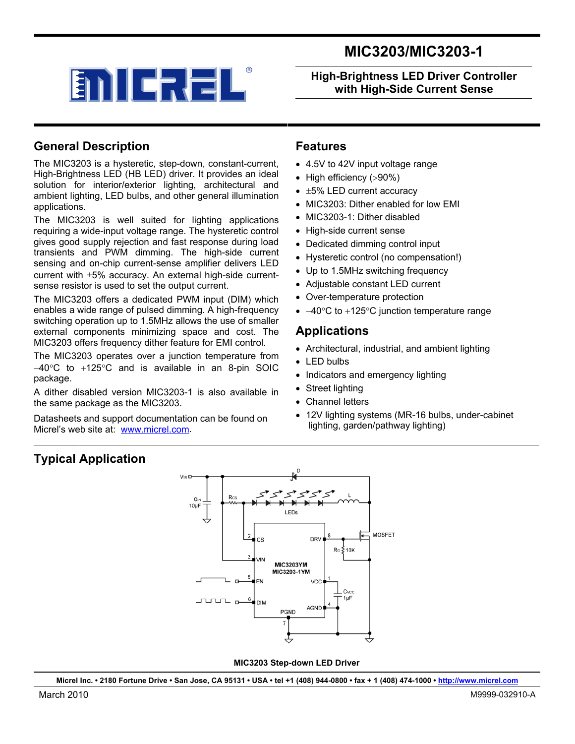



**High-Brightness LED Driver Controller with High-Side Current Sense** 

### **General Description**

The MIC3203 is a hysteretic, step-down, constant-current, High-Brightness LED (HB LED) driver. It provides an ideal solution for interior/exterior lighting, architectural and ambient lighting, LED bulbs, and other general illumination applications.

The MIC3203 is well suited for lighting applications requiring a wide-input voltage range. The hysteretic control gives good supply rejection and fast response during load transients and PWM dimming. The high-side current sensing and on-chip current-sense amplifier delivers LED current with ±5% accuracy. An external high-side currentsense resistor is used to set the output current.

The MIC3203 offers a dedicated PWM input (DIM) which enables a wide range of pulsed dimming. A high-frequency switching operation up to 1.5MHz allows the use of smaller external components minimizing space and cost. The MIC3203 offers frequency dither feature for EMI control.

The MIC3203 operates over a junction temperature from −40°C to +125°C and is available in an 8-pin SOIC package.

A dither disabled version MIC3203-1 is also available in the same package as the MIC3203.

Datasheets and support documentation can be found on Micrel's web site at: [www.micrel.com.](http://www.micrel.com/)

#### **Features**

- 4.5V to 42V input voltage range
- High efficiency (>90%)
- ±5% LED current accuracy
- MIC3203: Dither enabled for low FMI
- MIC3203-1: Dither disabled
- High-side current sense
- Dedicated dimming control input
- Hysteretic control (no compensation!)
- Up to 1.5MHz switching frequency
- Adjustable constant LED current
- Over-temperature protection
- −40°C to +125°C junction temperature range

#### **Applications**

- Architectural, industrial, and ambient lighting
- LED bulbs
- Indicators and emergency lighting
- Street lighting
- Channel letters
- 12V lighting systems (MR-16 bulbs, under-cabinet lighting, garden/pathway lighting)

### **Typical Application**



 $\ldots \ldots \ldots \ldots \ldots$ 

 **MIC3203 Step-down LED Driver** 

**Micrel Inc. • 2180 Fortune Drive • San Jose, CA 95131 • USA • tel +1 (408) 944-0800 • fax + 1 (408) 474-1000 • http://www.micrel.com**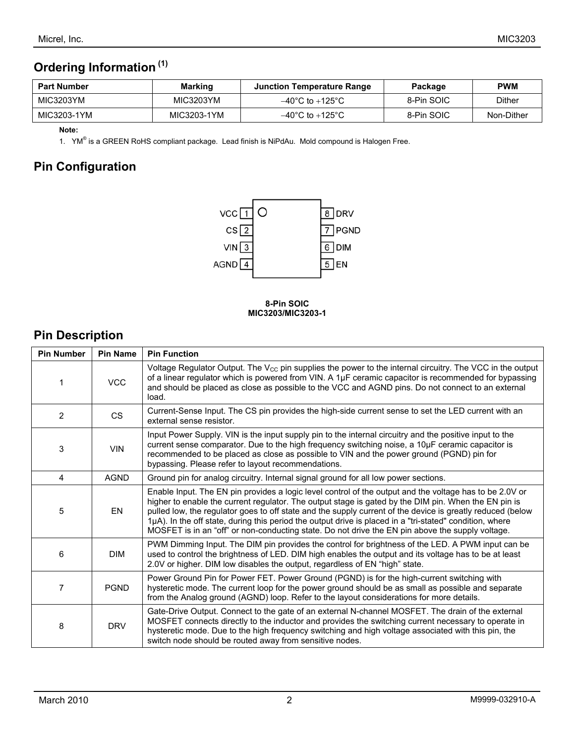# **Ordering Information (1)**

| <b>Part Number</b> | Marking     | <b>Junction Temperature Range</b>   | Package    | <b>PWM</b> |
|--------------------|-------------|-------------------------------------|------------|------------|
| MIC3203YM          | MIC3203YM   | $-40^{\circ}$ C to $+125^{\circ}$ C | 8-Pin SOIC | Dither     |
| MIC3203-1YM        | MIC3203-1YM | $-40^{\circ}$ C to $+125^{\circ}$ C | 8-Pin SOIC | Non-Dither |

#### **Note:**

1. YM<sup>®</sup> is a GREEN RoHS compliant package. Lead finish is NiPdAu. Mold compound is Halogen Free.

# **Pin Configuration**



#### **8-Pin SOIC MIC3203/MIC3203-1**

# **Pin Description**

| <b>Pin Number</b> | <b>Pin Name</b> | <b>Pin Function</b>                                                                                                                                                                                                                                                                                                                                                                                                                                                                                                                           |
|-------------------|-----------------|-----------------------------------------------------------------------------------------------------------------------------------------------------------------------------------------------------------------------------------------------------------------------------------------------------------------------------------------------------------------------------------------------------------------------------------------------------------------------------------------------------------------------------------------------|
|                   | <b>VCC</b>      | Voltage Regulator Output. The $V_{\text{CC}}$ pin supplies the power to the internal circuitry. The VCC in the output<br>of a linear regulator which is powered from VIN. A 1µF ceramic capacitor is recommended for bypassing<br>and should be placed as close as possible to the VCC and AGND pins. Do not connect to an external<br>load.                                                                                                                                                                                                  |
| 2                 | <b>CS</b>       | Current-Sense Input. The CS pin provides the high-side current sense to set the LED current with an<br>external sense resistor.                                                                                                                                                                                                                                                                                                                                                                                                               |
| 3                 | <b>VIN</b>      | Input Power Supply. VIN is the input supply pin to the internal circuitry and the positive input to the<br>current sense comparator. Due to the high frequency switching noise, a 10µF ceramic capacitor is<br>recommended to be placed as close as possible to VIN and the power ground (PGND) pin for<br>bypassing. Please refer to layout recommendations.                                                                                                                                                                                 |
| 4                 | <b>AGND</b>     | Ground pin for analog circuitry. Internal signal ground for all low power sections.                                                                                                                                                                                                                                                                                                                                                                                                                                                           |
| 5                 | EN              | Enable Input. The EN pin provides a logic level control of the output and the voltage has to be 2.0V or<br>higher to enable the current regulator. The output stage is gated by the DIM pin. When the EN pin is<br>pulled low, the regulator goes to off state and the supply current of the device is greatly reduced (below<br>1µA). In the off state, during this period the output drive is placed in a "tri-stated" condition, where<br>MOSFET is in an "off" or non-conducting state. Do not drive the EN pin above the supply voltage. |
| 6                 | <b>DIM</b>      | PWM Dimming Input. The DIM pin provides the control for brightness of the LED. A PWM input can be<br>used to control the brightness of LED. DIM high enables the output and its voltage has to be at least<br>2.0V or higher. DIM low disables the output, regardless of EN "high" state.                                                                                                                                                                                                                                                     |
| 7                 | <b>PGND</b>     | Power Ground Pin for Power FET. Power Ground (PGND) is for the high-current switching with<br>hysteretic mode. The current loop for the power ground should be as small as possible and separate<br>from the Analog ground (AGND) loop. Refer to the layout considerations for more details.                                                                                                                                                                                                                                                  |
| 8                 | <b>DRV</b>      | Gate-Drive Output. Connect to the gate of an external N-channel MOSFET. The drain of the external<br>MOSFET connects directly to the inductor and provides the switching current necessary to operate in<br>hysteretic mode. Due to the high frequency switching and high voltage associated with this pin, the<br>switch node should be routed away from sensitive nodes.                                                                                                                                                                    |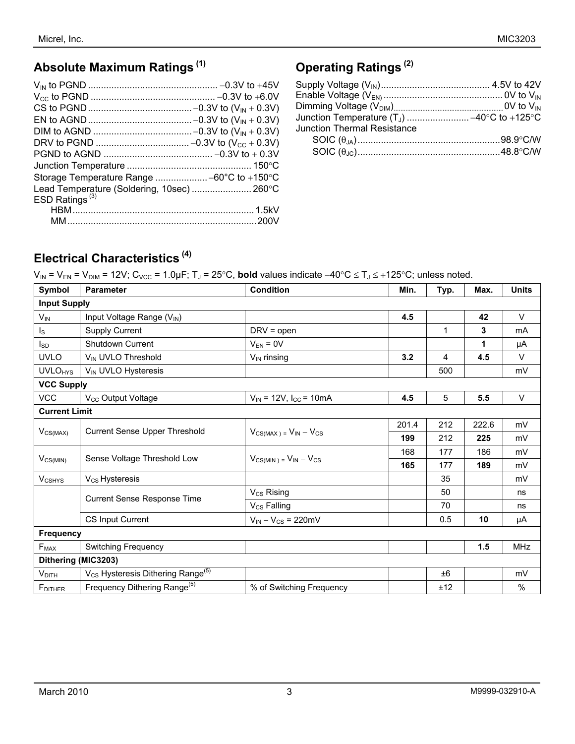# **Absolute Maximum Ratings (1)**

| Lead Temperature (Soldering, 10sec)  260°C |  |
|--------------------------------------------|--|
| ESD Ratings <sup>(3)</sup>                 |  |
|                                            |  |
|                                            |  |

# **Operating Ratings (2)**

| <b>Junction Thermal Resistance</b> |  |
|------------------------------------|--|
|                                    |  |
|                                    |  |

# **Electrical Characteristics (4)**

V<sub>IN</sub> = V<sub>EN</sub> = V<sub>DIM</sub> = 12V; C<sub>VCC</sub> = 1.0µF; T<sub>J</sub> = 25°C, **bold** values indicate −40°C ≤ T<sub>J</sub> ≤ +125°C; unless noted.

| Symbol                    | <b>Parameter</b>                                          | <b>Condition</b>                                | Min.  | Typ.         | Max.  | <b>Units</b> |
|---------------------------|-----------------------------------------------------------|-------------------------------------------------|-------|--------------|-------|--------------|
|                           | <b>Input Supply</b>                                       |                                                 |       |              |       |              |
| $V_{IN}$                  | Input Voltage Range (V <sub>IN</sub> )                    |                                                 | 4.5   |              | 42    | V            |
| $\mathsf{I}_\mathsf{S}$   | <b>Supply Current</b>                                     | $DRV = open$                                    |       | $\mathbf{1}$ | 3     | mA           |
| <sub>sp</sub>             | <b>Shutdown Current</b>                                   | $V_{EN} = 0V$                                   |       |              | 1     | μA           |
| <b>UVLO</b>               | V <sub>IN</sub> UVLO Threshold                            | $V_{IN}$ rinsing                                | 3.2   | 4            | 4.5   | $\vee$       |
| <b>UVLO<sub>HYS</sub></b> | V <sub>IN</sub> UVLO Hysteresis                           |                                                 |       | 500          |       | mV           |
| <b>VCC Supply</b>         |                                                           |                                                 |       |              |       |              |
| <b>VCC</b>                | V <sub>CC</sub> Output Voltage                            | $V_{IN}$ = 12V, $I_{CC}$ = 10mA                 | 4.5   | 5            | 5.5   | $\vee$       |
| <b>Current Limit</b>      |                                                           |                                                 |       |              |       |              |
| $V_{CS(MAX)}$             | Current Sense Upper Threshold                             | $V_{CS(MAX)} = V_{IN} - V_{CS}$                 | 201.4 | 212          | 222.6 | mV           |
|                           |                                                           |                                                 | 199   | 212          | 225   | mV           |
|                           | Sense Voltage Threshold Low                               | $V_{CS(MIN)} = V_{IN} - V_{CS}$                 | 168   | 177          | 186   | mV           |
| $V_{CS(MIN)}$             |                                                           |                                                 | 165   | 177          | 189   | mV           |
| <b>VCSHYS</b>             | V <sub>CS</sub> Hysteresis                                |                                                 |       | 35           |       | mV           |
|                           | Current Sense Response Time                               | $V_{CS}$ Rising                                 |       | 50           |       | ns           |
|                           |                                                           | V <sub>CS</sub> Falling                         |       | 70           |       | ns           |
|                           | CS Input Current                                          | $V_{\text{IN}} - V_{\text{CS}} = 220 \text{mV}$ |       | 0.5          | 10    | μA           |
| <b>Frequency</b>          |                                                           |                                                 |       |              |       |              |
| $F_{MAX}$                 | <b>Switching Frequency</b>                                |                                                 |       |              | 1.5   | <b>MHz</b>   |
| Dithering (MIC3203)       |                                                           |                                                 |       |              |       |              |
| $V_{\text{DITH}}$         | V <sub>CS</sub> Hysteresis Dithering Range <sup>(5)</sup> |                                                 |       | ±6           |       | mV           |
| FDITHER                   | Frequency Dithering Range <sup>(5)</sup>                  | % of Switching Frequency                        |       | ±12          |       | %            |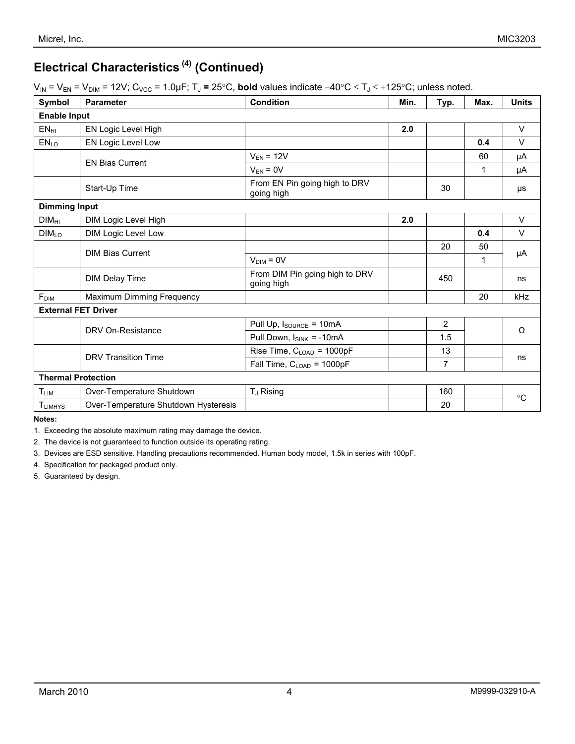# **Electrical Characteristics (4) (Continued)**

| $V_{IN}$ = $V_{EN}$ = $V_{DIM}$ = 12V; C <sub>VCC</sub> = 1.0µF; T <sub>J</sub> = 25°C, <b>bold</b> values indicate $-40^{\circ}$ C $\leq$ T <sub>J</sub> $\leq$ +125°C; unless noted. |  |
|----------------------------------------------------------------------------------------------------------------------------------------------------------------------------------------|--|
|----------------------------------------------------------------------------------------------------------------------------------------------------------------------------------------|--|

| Symbol                    | <b>Parameter</b>                     | <b>Condition</b>                             | Min. | Typ.           | Max.        | <b>Units</b> |
|---------------------------|--------------------------------------|----------------------------------------------|------|----------------|-------------|--------------|
| <b>Enable Input</b>       |                                      |                                              |      |                |             |              |
| $EN_{HI}$                 | EN Logic Level High                  |                                              | 2.0  |                |             | V            |
| EN <sub>LO</sub>          | EN Logic Level Low                   |                                              |      |                | 0.4         | $\vee$       |
|                           | <b>EN Bias Current</b>               | $V_{EN}$ = 12V                               |      |                | 60          | μA           |
|                           |                                      | $V_{EN} = 0V$                                |      |                | 1           | μA           |
|                           | Start-Up Time                        | From EN Pin going high to DRV<br>going high  |      | 30             |             | μs           |
| <b>Dimming Input</b>      |                                      |                                              |      |                |             |              |
| <b>DIMHI</b>              | DIM Logic Level High                 |                                              | 2.0  |                |             | $\vee$       |
| DIM <sub>LO</sub>         | DIM Logic Level Low                  |                                              |      |                | 0.4         | $\vee$       |
|                           | <b>DIM Bias Current</b>              |                                              |      | 20             | 50          | μA           |
|                           |                                      | $VDIM = 0V$                                  |      |                | 1           |              |
|                           | <b>DIM Delay Time</b>                | From DIM Pin going high to DRV<br>going high |      | 450            |             | ns           |
| F <sub>DIM</sub>          | Maximum Dimming Frequency            |                                              |      |                | 20          | kHz          |
|                           | <b>External FET Driver</b>           |                                              |      |                |             |              |
|                           | DRV On-Resistance                    | Pull Up, Isource = 10mA                      |      | 2              |             | $\Omega$     |
|                           |                                      | Pull Down, $I_{SINK} = -10mA$                |      | 1.5            |             |              |
|                           | <b>DRV Transition Time</b>           | Rise Time, C <sub>LOAD</sub> = 1000pF        |      | 13             |             |              |
|                           |                                      | Fall Time, $C_{\text{LOAD}} = 1000pF$        |      | $\overline{7}$ |             | ns           |
| <b>Thermal Protection</b> |                                      |                                              |      |                |             |              |
| TLIM                      | Over-Temperature Shutdown            | T <sub>J</sub> Rising                        |      | 160            |             |              |
| <b>TLIMHYS</b>            | Over-Temperature Shutdown Hysteresis |                                              |      | 20             | $^{\circ}C$ |              |

**Notes:** 

1. Exceeding the absolute maximum rating may damage the device.

2. The device is not guaranteed to function outside its operating rating.

3. Devices are ESD sensitive. Handling precautions recommended. Human body model, 1.5k in series with 100pF.

4. Specification for packaged product only.

5. Guaranteed by design.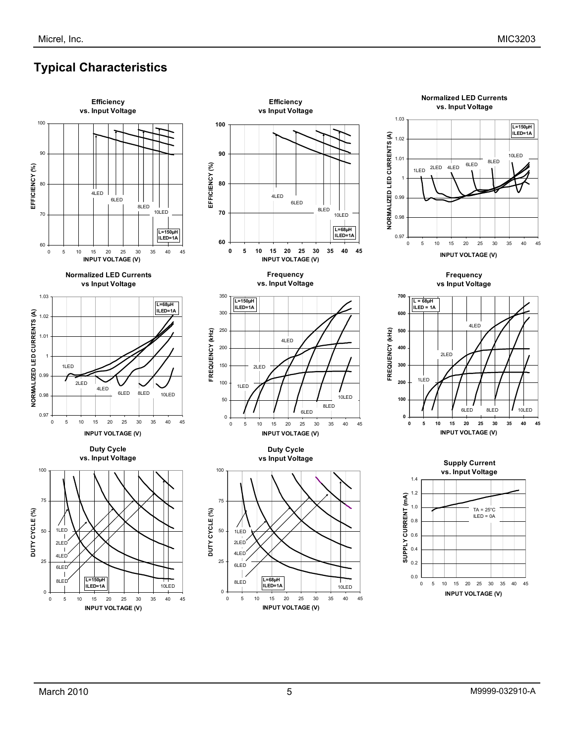# **Typical Characteristics**

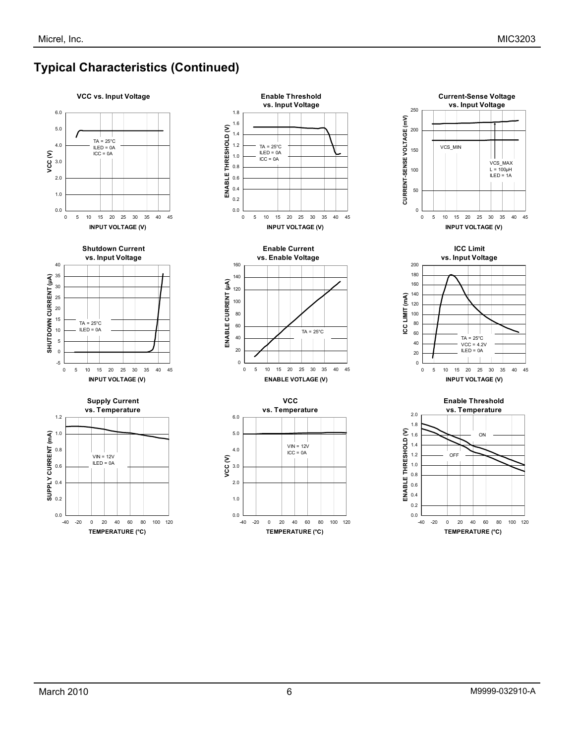# **Typical Characteristics (Continued)**





**Supply Current vs. Temperature**













**Enable Threshold** 

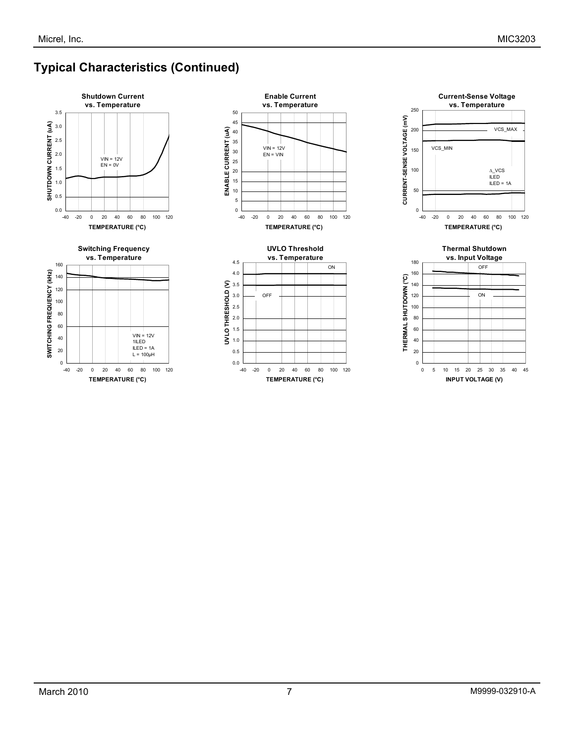# **Typical Characteristics (Continued)**



-40 -20 0 20 40 60 80 100 120 **TEMPERATURE (°C)**

 $VIN = 12V$ 1ILED ILED = 1A  $L = 100 \mu H$ 









 $0 \downarrow$ <br>-40 -20

20 40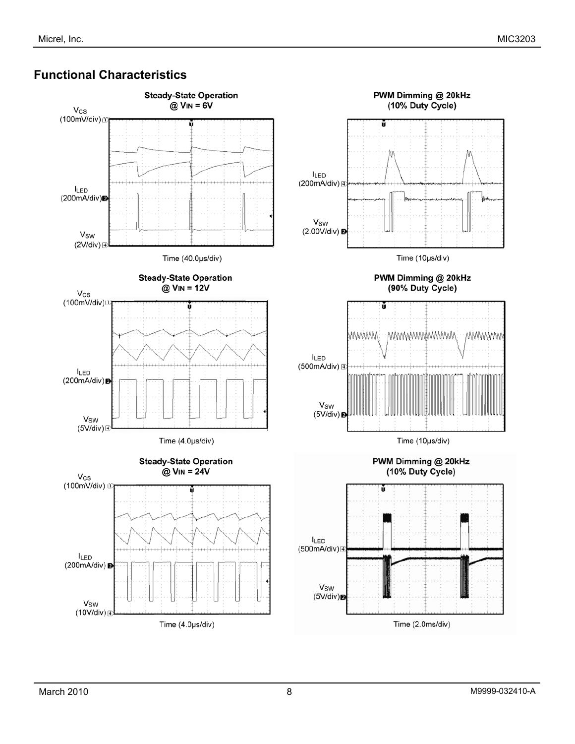### **Functional Characteristics**

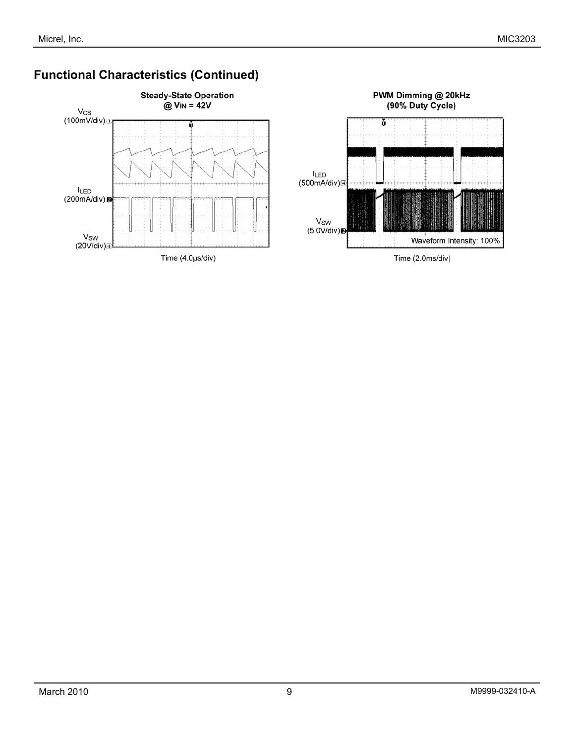

# **Functional Characteristics (Continued)**

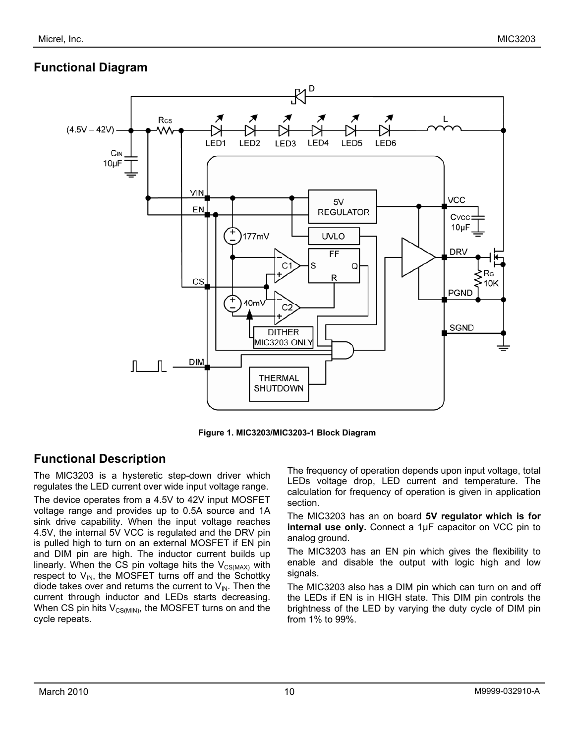# **Functional Diagram**



**Figure 1. MIC3203/MIC3203-1 Block Diagram** 

## **Functional Description**

The MIC3203 is a hysteretic step-down driver which regulates the LED current over wide input voltage range.

The device operates from a 4.5V to 42V input MOSFET voltage range and provides up to 0.5A source and 1A sink drive capability. When the input voltage reaches 4.5V, the internal 5V VCC is regulated and the DRV pin is pulled high to turn on an external MOSFET if EN pin and DIM pin are high. The inductor current builds up linearly. When the CS pin voltage hits the  $V_{CS(MAX)}$  with respect to  $V_{IN}$ , the MOSFET turns off and the Schottky diode takes over and returns the current to  $V_{\text{IN}}$ . Then the current through inductor and LEDs starts decreasing. When CS pin hits  $V_{CS(MIN)}$ , the MOSFET turns on and the cycle repeats.

The frequency of operation depends upon input voltage, total LEDs voltage drop, LED current and temperature. The calculation for frequency of operation is given in application section.

The MIC3203 has an on board **5V regulator which is for internal use only.** Connect a 1µF capacitor on VCC pin to analog ground.

The MIC3203 has an EN pin which gives the flexibility to enable and disable the output with logic high and low signals.

The MIC3203 also has a DIM pin which can turn on and off the LEDs if EN is in HIGH state. This DIM pin controls the brightness of the LED by varying the duty cycle of DIM pin from 1% to 99%.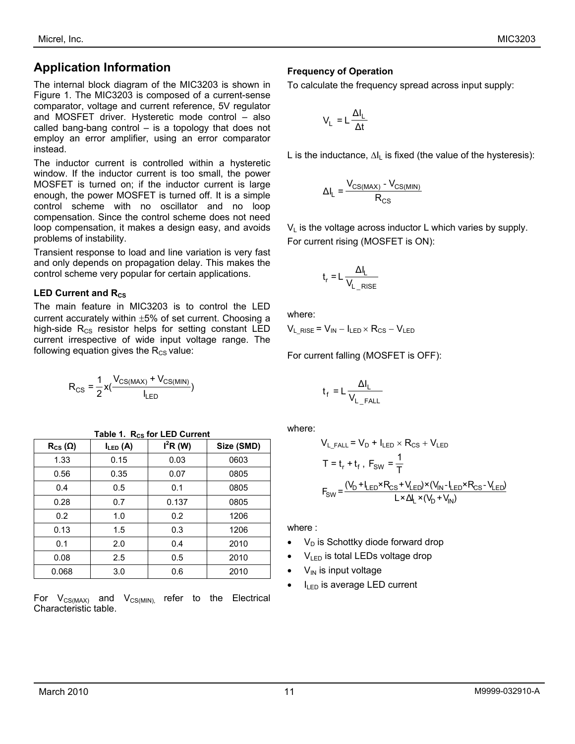# **Application Information**

The internal block diagram of the MIC3203 is shown in Figure 1. The MIC3203 is composed of a current-sense comparator, voltage and current reference, 5V regulator and MOSFET driver. Hysteretic mode control – also called bang-bang control – is a topology that does not employ an error amplifier, using an error comparator instead.

The inductor current is controlled within a hysteretic window. If the inductor current is too small, the power MOSFET is turned on; if the inductor current is large enough, the power MOSFET is turned off. It is a simple control scheme with no oscillator and no loop compensation. Since the control scheme does not need loop compensation, it makes a design easy, and avoids problems of instability.

Transient response to load and line variation is very fast and only depends on propagation delay. This makes the control scheme very popular for certain applications.

#### **LED Current and Rcs**

The main feature in MIC3203 is to control the LED current accurately within ±5% of set current. Choosing a high-side  $R_{CS}$  resistor helps for setting constant LED current irrespective of wide input voltage range. The following equation gives the  $R_{CS}$  value:

$$
R_{CS} = \frac{1}{2}x(\frac{V_{CS(MAX)} + V_{CS(MIN)}}{I_{LED}})
$$

| $R_{CS}(\Omega)$ | $I_{LED}$ (A) | $I^2R(W)$ | Size (SMD) |
|------------------|---------------|-----------|------------|
| 1.33             | 0.15          | 0.03      | 0603       |
| 0.56             | 0.35          | 0.07      | 0805       |
| 0.4              | 0.5           | 0.1       | 0805       |
| 0.28             | 0.7           | 0.137     | 0805       |
| 0.2              | 1.0           | 0.2       | 1206       |
| 0.13             | 1.5           | 0.3       | 1206       |
| 0.1              | 2.0           | 0.4       | 2010       |
| 0.08             | 2.5           | 0.5       | 2010       |
| 0.068            | 3.0           | 0.6       | 2010       |

**Table 1. Rcs for LED Current** 

For  $V_{CS(MAX)}$  and  $V_{CS(MIN)}$  refer to the Electrical Characteristic table.

#### **Frequency of Operation**

To calculate the frequency spread across input supply:

$$
V_{L} = L \frac{\Delta I_{L}}{\Delta t}
$$

L is the inductance,  $\Delta I_L$  is fixed (the value of the hysteresis):

$$
\Delta I_{L} = \frac{V_{CS(MAX)} - V_{CS(MIN)}}{R_{CS}}
$$

 $V_L$  is the voltage across inductor L which varies by supply. For current rising (MOSFET is ON):

$$
t_r = L \frac{\Delta I_L}{V_{L_RISE}}
$$

where:

 $V_L$ <sub>RISE</sub> =  $V_{IN} - I_{LED} \times R_{CS} - V_{LED}$ 

For current falling (MOSFET is OFF):

$$
t_f = L \frac{\Delta I_L}{V_{L\_FALL}}
$$

where:

$$
V_{L\_FALL} = V_D + I_{LED} \times R_{CS} + V_{LED}
$$
  
\n
$$
T = t_r + t_f, F_{SW} = \frac{1}{T}
$$
  
\n
$$
F_{SW} = \frac{(V_D + I_{LED} \times R_{CS} + V_{LED}) \times (V_{IN} - I_{LED} \times R_{CS} - V_{LED})}{L \times \Delta_L \times (V_D + V_{IN})}
$$

where :

- $V_D$  is Schottky diode forward drop
- $V_{LED}$  is total LEDs voltage drop
- $V_{\text{IN}}$  is input voltage
- $I_{LED}$  is average LED current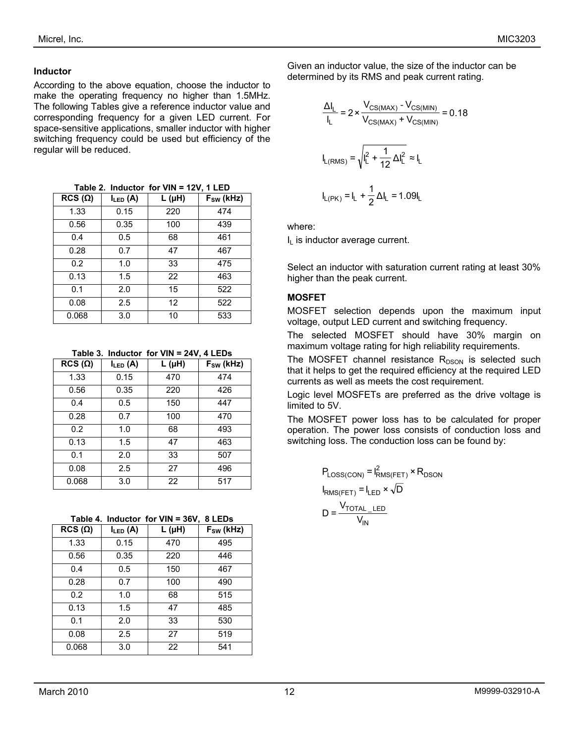#### **Inductor**

According to the above equation, choose the inductor to make the operating frequency no higher than 1.5MHz. The following Tables give a reference inductor value and corresponding frequency for a given LED current. For space-sensitive applications, smaller inductor with higher switching frequency could be used but efficiency of the regular will be reduced.

**Table 2. Inductor for VIN = 12V, 1 LED** 

| $RCS(\Omega)$ | $I_{LED}$ (A) | $L(\mu H)$ | $F_{SW}$ (kHz) |
|---------------|---------------|------------|----------------|
| 1.33          | 0.15          | 220        | 474            |
| 0.56          | 0.35          | 100        | 439            |
| 0.4           | 0.5           | 68         | 461            |
| 0.28          | 0.7           | 47         | 467            |
| 0.2           | 1.0           | 33         | 475            |
| 0.13          | 1.5           | 22         | 463            |
| 0.1           | 2.0           | 15         | 522            |
| 0.08          | 2.5           | 12         | 522            |
| 0.068         | 3.0           | 10         | 533            |

**Table 3. Inductor for VIN = 24V, 4 LEDs** 

| $RCS(\Omega)$ | $I_{LED}$ (A) | L (µH) | $F_{SW}$ (kHz) |
|---------------|---------------|--------|----------------|
| 1.33          | 0.15          | 470    | 474            |
| 0.56          | 0.35          | 220    | 426            |
| 0.4           | 0.5           | 150    | 447            |
| 0.28          | 0.7           | 100    | 470            |
| 0.2           | 1.0           | 68     | 493            |
| 0.13          | 1.5           | 47     | 463            |
| 0.1           | 2.0           | 33     | 507            |
| 0.08          | 2.5           | 27     | 496            |
| 0.068         | 3.0           | 22     | 517            |

**Table 4. Inductor for VIN = 36V, 8 LEDs** 

| $RCS(\Omega)$ | $I_{LED}$ (A) | $L(\mu H)$ | $F_{SW}$ (kHz) |
|---------------|---------------|------------|----------------|
| 1.33          | 0.15          | 470        | 495            |
| 0.56          | 0.35          | 220        | 446            |
| 0.4           | 0.5           | 150        | 467            |
| 0.28          | 0.7           | 100        | 490            |
| 0.2           | 1.0           | 68         | 515            |
| 0.13          | 1.5           | 47         | 485            |
| 0.1           | 2.0           | 33         | 530            |
| 0.08          | 2.5           | 27         | 519            |
| 0.068         | 3.0           | 22         | 541            |

Given an inductor value, the size of the inductor can be determined by its RMS and peak current rating.

$$
\frac{\Delta I_L}{I_L} = 2 \times \frac{V_{CS(MAX)} - V_{CS(MIN)}}{V_{CS(MAX)} + V_{CS(MIN)}} = 0.18
$$
  

$$
I_{L(RMS)} = \sqrt{I_L^2 + \frac{1}{12} \Delta I_L^2} \approx I_L
$$
  

$$
I_{L(PK)} = I_L + \frac{1}{2} \Delta I_L = 1.09 I_L
$$

where:

 $I<sub>L</sub>$  is inductor average current.

Select an inductor with saturation current rating at least 30% higher than the peak current.

#### **MOSFET**

MOSFET selection depends upon the maximum input voltage, output LED current and switching frequency.

The selected MOSFET should have 30% margin on maximum voltage rating for high reliability requirements.

The MOSFET channel resistance  $R_{DSON}$  is selected such that it helps to get the required efficiency at the required LED currents as well as meets the cost requirement.

Logic level MOSFETs are preferred as the drive voltage is limited to 5V.

The MOSFET power loss has to be calculated for proper operation. The power loss consists of conduction loss and switching loss. The conduction loss can be found by:

$$
P_{Loss(CON)} = I_{RMS(FET)}^{2} \times R_{DSON}
$$

$$
I_{RMS(FET)} = I_{LED} \times \sqrt{D}
$$

$$
D = \frac{V_{TOTAL\_LED}}{V_{IN}}
$$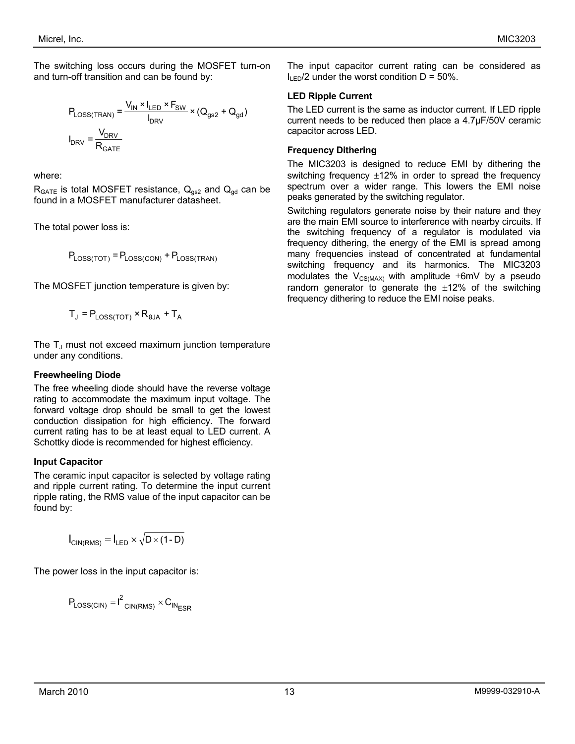The switching loss occurs during the MOSFET turn-on and turn-off transition and can be found by:

$$
P_{\text{Loss}(\text{TRAN})} = \frac{V_{\text{IN}} \times I_{\text{LED}} \times F_{\text{SW}}}{I_{\text{DRV}}} \times (Q_{\text{gs2}} + Q_{\text{gd}})
$$

$$
I_{\text{DRV}} = \frac{V_{\text{DRV}}}{R_{\text{GATE}}}
$$

where:

 $R_{GATE}$  is total MOSFET resistance,  $Q_{gs2}$  and  $Q_{gd}$  can be found in a MOSFET manufacturer datasheet.

The total power loss is:

 $P_{\text{Loss}(\text{TOT})} = P_{\text{Loss}(\text{CON})} + P_{\text{Loss}(\text{TRAN})}$ 

The MOSFET junction temperature is given by:

 $T_J = P_{LOSSTOT} \times R_{\theta JA} + T_A$ 

The  $T_J$  must not exceed maximum junction temperature under any conditions.

#### **Freewheeling Diode**

The free wheeling diode should have the reverse voltage rating to accommodate the maximum input voltage. The forward voltage drop should be small to get the lowest conduction dissipation for high efficiency. The forward current rating has to be at least equal to LED current. A Schottky diode is recommended for highest efficiency.

#### **Input Capacitor**

The ceramic input capacitor is selected by voltage rating and ripple current rating. To determine the input current ripple rating, the RMS value of the input capacitor can be found by:

$$
I_{\text{CIN(RMS)}} = I_{\text{LED}} \times \sqrt{D \times (1 - D)}
$$

The power loss in the input capacitor is:

$$
P_{\text{Loss}(\text{CIN})} = I^2_{\text{CIN}(\text{RMS})} \times C_{\text{IN}_{\text{ESR}}}
$$

The input capacitor current rating can be considered as  $I_{\text{LED}}/2$  under the worst condition  $D = 50\%$ .

#### **LED Ripple Current**

The LED current is the same as inductor current. If LED ripple current needs to be reduced then place a 4.7µF/50V ceramic capacitor across LED.

#### **Frequency Dithering**

The MIC3203 is designed to reduce EMI by dithering the switching frequency  $\pm 12\%$  in order to spread the frequency spectrum over a wider range. This lowers the EMI noise peaks generated by the switching regulator.

Switching regulators generate noise by their nature and they are the main EMI source to interference with nearby circuits. If the switching frequency of a regulator is modulated via frequency dithering, the energy of the EMI is spread among many frequencies instead of concentrated at fundamental switching frequency and its harmonics. The MIC3203 modulates the  $V_{CS(MAX)}$  with amplitude  $\pm 6$ mV by a pseudo random generator to generate the  $\pm 12\%$  of the switching frequency dithering to reduce the EMI noise peaks.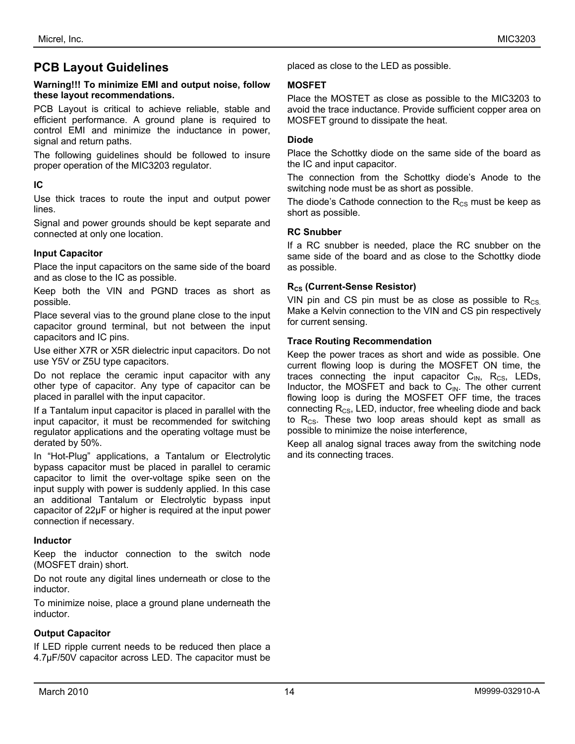### **PCB Layout Guidelines**

#### **Warning!!! To minimize EMI and output noise, follow these layout recommendations.**

PCB Layout is critical to achieve reliable, stable and efficient performance. A ground plane is required to control EMI and minimize the inductance in power, signal and return paths.

The following guidelines should be followed to insure proper operation of the MIC3203 regulator.

#### **IC**

Use thick traces to route the input and output power lines.

Signal and power grounds should be kept separate and connected at only one location.

#### **Input Capacitor**

Place the input capacitors on the same side of the board and as close to the IC as possible.

Keep both the VIN and PGND traces as short as possible.

Place several vias to the ground plane close to the input capacitor ground terminal, but not between the input capacitors and IC pins.

Use either X7R or X5R dielectric input capacitors. Do not use Y5V or Z5U type capacitors.

Do not replace the ceramic input capacitor with any other type of capacitor. Any type of capacitor can be placed in parallel with the input capacitor.

If a Tantalum input capacitor is placed in parallel with the input capacitor, it must be recommended for switching regulator applications and the operating voltage must be derated by 50%.

In "Hot-Plug" applications, a Tantalum or Electrolytic bypass capacitor must be placed in parallel to ceramic capacitor to limit the over-voltage spike seen on the input supply with power is suddenly applied. In this case an additional Tantalum or Electrolytic bypass input capacitor of 22µF or higher is required at the input power connection if necessary.

#### **Inductor**

Keep the inductor connection to the switch node (MOSFET drain) short.

Do not route any digital lines underneath or close to the inductor.

To minimize noise, place a ground plane underneath the inductor.

#### **Output Capacitor**

If LED ripple current needs to be reduced then place a 4.7µF/50V capacitor across LED. The capacitor must be placed as close to the LED as possible.

#### **MOSFET**

Place the MOSTET as close as possible to the MIC3203 to avoid the trace inductance. Provide sufficient copper area on MOSFET ground to dissipate the heat.

#### **Diode**

Place the Schottky diode on the same side of the board as the IC and input capacitor.

The connection from the Schottky diode's Anode to the switching node must be as short as possible.

The diode's Cathode connection to the  $R_{CS}$  must be keep as short as possible.

#### **RC Snubber**

If a RC snubber is needed, place the RC snubber on the same side of the board and as close to the Schottky diode as possible.

#### **R<sub>cs</sub>** (Current-Sense Resistor)

VIN pin and CS pin must be as close as possible to  $R_{CS}$ . Make a Kelvin connection to the VIN and CS pin respectively for current sensing.

#### **Trace Routing Recommendation**

Keep the power traces as short and wide as possible. One current flowing loop is during the MOSFET ON time, the traces connecting the input capacitor  $C_{\text{IN}}$ ,  $R_{\text{CS}}$ , LEDs, Inductor, the MOSFET and back to  $C_{\text{IN}}$ . The other current flowing loop is during the MOSFET OFF time, the traces connecting  $R_{CS}$ , LED, inductor, free wheeling diode and back to  $R_{CS}$ . These two loop areas should kept as small as possible to minimize the noise interference,

Keep all analog signal traces away from the switching node and its connecting traces.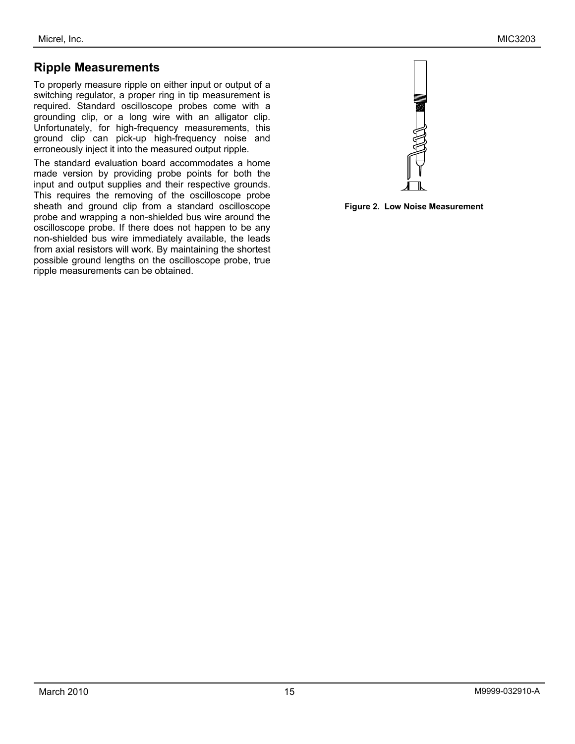### **Ripple Measurements**

To properly measure ripple on either input or output of a switching regulator, a proper ring in tip measurement is required. Standard oscilloscope probes come with a grounding clip, or a long wire with an alligator clip. Unfortunately, for high-frequency measurements, this ground clip can pick-up high-frequency noise and erroneously inject it into the measured output ripple.

The standard evaluation board accommodates a home made version by providing probe points for both the input and output supplies and their respective grounds. This requires the removing of the oscilloscope probe sheath and ground clip from a standard oscilloscope probe and wrapping a non-shielded bus wire around the oscilloscope probe. If there does not happen to be any non-shielded bus wire immediately available, the leads from axial resistors will work. By maintaining the shortest possible ground lengths on the oscilloscope probe, true ripple measurements can be obtained.



**Figure 2. Low Noise Measurement**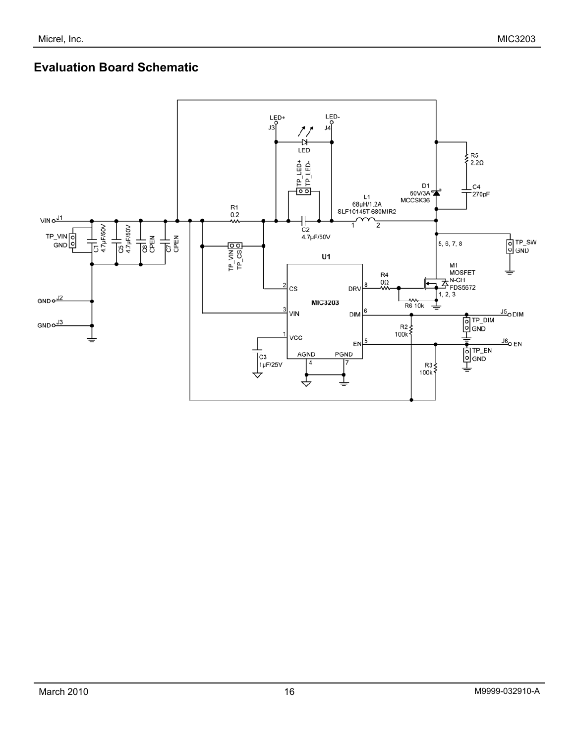# **Evaluation Board Schematic**

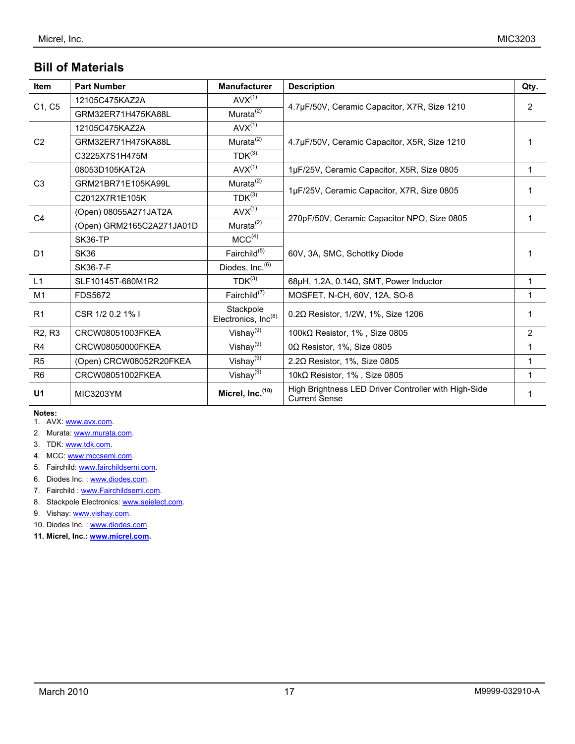# **Bill of Materials**

| Item                            | <b>Part Number</b>        | <b>Manufacturer</b>              | <b>Description</b>                                                           | Qty.           |
|---------------------------------|---------------------------|----------------------------------|------------------------------------------------------------------------------|----------------|
|                                 | 12105C475KAZ2A            | $AVX^{(1)}$                      |                                                                              |                |
| C1, C5                          | GRM32ER71H475KA88L        | Murata <sup>(2)</sup>            | 4.7µF/50V, Ceramic Capacitor, X7R, Size 1210                                 | $\overline{2}$ |
|                                 | 12105C475KAZ2A            | $AVX^{(1)}$                      |                                                                              |                |
| C <sub>2</sub>                  | GRM32ER71H475KA88L        | Murata $\sqrt[2]{ }$             | 4.7µF/50V, Ceramic Capacitor, X5R, Size 1210                                 | 1              |
|                                 | C3225X7S1H475M            | $TDK^{(3)}$                      |                                                                              |                |
|                                 | 08053D105KAT2A            | $AVX^{(1)}$                      | 1µF/25V, Ceramic Capacitor, X5R, Size 0805                                   | 1              |
| C <sub>3</sub>                  | GRM21BR71E105KA99L        | Murata <sup>(2)</sup>            |                                                                              |                |
|                                 | C2012X7R1E105K            | $TDK^{(3)}$                      | 1µF/25V, Ceramic Capacitor, X7R, Size 0805                                   | 1              |
| C <sub>4</sub>                  | (Open) 08055A271JAT2A     | $AVX^{(1)}$                      |                                                                              | 1              |
|                                 | (Open) GRM2165C2A271JA01D | Murata <sup>(2)</sup>            | 270pF/50V, Ceramic Capacitor NPO, Size 0805                                  |                |
|                                 | SK36-TP                   | MCC <sup>(4)</sup>               |                                                                              |                |
| D <sub>1</sub>                  | <b>SK36</b>               | Fairchild <sup>(5)</sup>         | 60V, 3A, SMC, Schottky Diode                                                 |                |
|                                 | SK36-7-F                  | Diodes, Inc. <sup>(6)</sup>      |                                                                              |                |
| L1                              | SLF10145T-680M1R2         | $TDK^{(3)}$                      | 68µH, 1.2A, $0.14\Omega$ , SMT, Power Inductor                               | 1              |
| M1                              | <b>FDS5672</b>            | Fairchild $^{(7)}$               | MOSFET, N-CH, 60V, 12A, SO-8                                                 | 1              |
| R <sub>1</sub>                  | CSR 1/2 0.2 1% I          | Stackpole<br>Electronics, Inc(8) | $0.2\Omega$ Resistor, 1/2W, 1%, Size 1206                                    | 1              |
| R <sub>2</sub> , R <sub>3</sub> | CRCW08051003FKEA          | Vishay <sup>(9)</sup>            | 100kΩ Resistor, 1%, Size 0805                                                | $\overline{2}$ |
| R <sub>4</sub>                  | CRCW08050000FKEA          | Vishay <sup>(9)</sup>            | $0\Omega$ Resistor, 1%, Size 0805                                            | 1              |
| R <sub>5</sub>                  | (Open) CRCW08052R20FKEA   | Vishay $(9)$                     | 2.20 Resistor, 1%, Size 0805                                                 | 1              |
| R <sub>6</sub>                  | CRCW08051002FKEA          | Vishay $^{(9)}$                  | 10k $\Omega$ Resistor, 1%, Size 0805                                         | $\mathbf{1}$   |
| U <sub>1</sub>                  | <b>MIC3203YM</b>          | Micrel, Inc. (10)                | High Brightness LED Driver Controller with High-Side<br><b>Current Sense</b> | 1              |

#### **Notes:**

- 1. AVX: [www.avx.com](http://www.avx.com/).
- 2. Murata: [www.murata.com.](http://www.murata.com/)
- 3. TDK: [www.tdk.com](http://www.tdk.com/).
- 4. MCC: [www.mccsemi.com.](http://www.mccsemi.com/)
- 5. Fairchild: [www.fairchildsemi.com.](http://www.fairchildsemi.com/)
- 6. Diodes Inc.: [www.diodes.com.](http://www.diodes.com/)
- 7. Fairchild : [www.Fairchildsemi.com](http://www.fairchildsemi.com/).
- 8. Stackpole Electronics: [www.seielect.com](http://www.seielect.com/).
- 9. Vishay: [www.vishay.com](http://www.vishay.com/).
- 10. Diodes Inc.: [www.diodes.com.](http://www.diodes.com/)
- **11. Micrel, Inc.: [www.micrel.com.](http://www.micrel.com/)**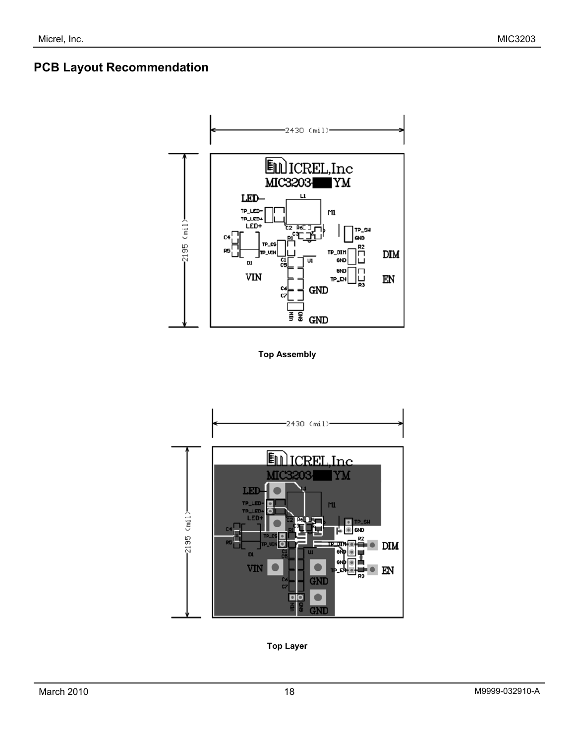# **PCB Layout Recommendation**



**Top Assembly** 



**Top Layer**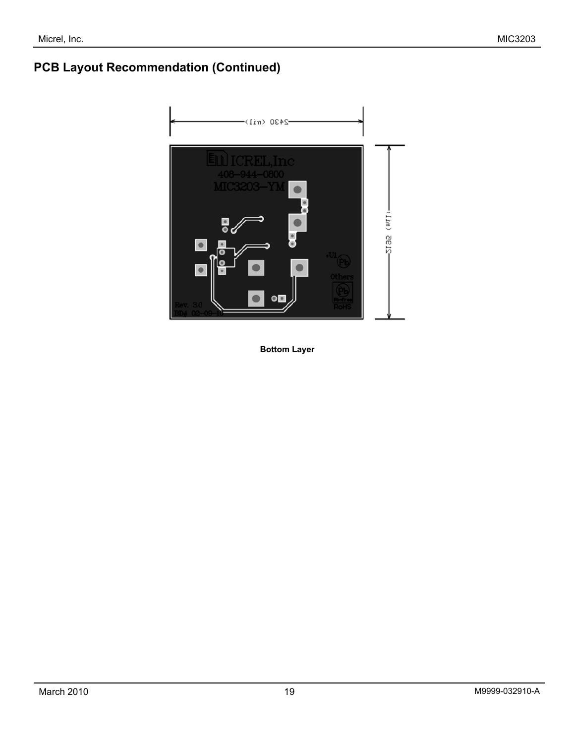# **PCB Layout Recommendation (Continued)**



**Bottom Layer**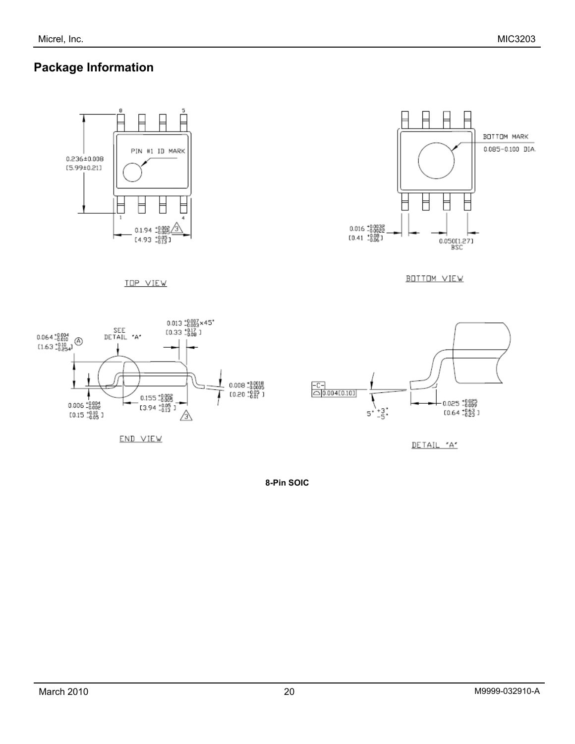### **Package Information**





BOTTOM VIEW



**TOP VIEW** 

END VIEW



DETAIL "A"

**8-Pin SOIC**